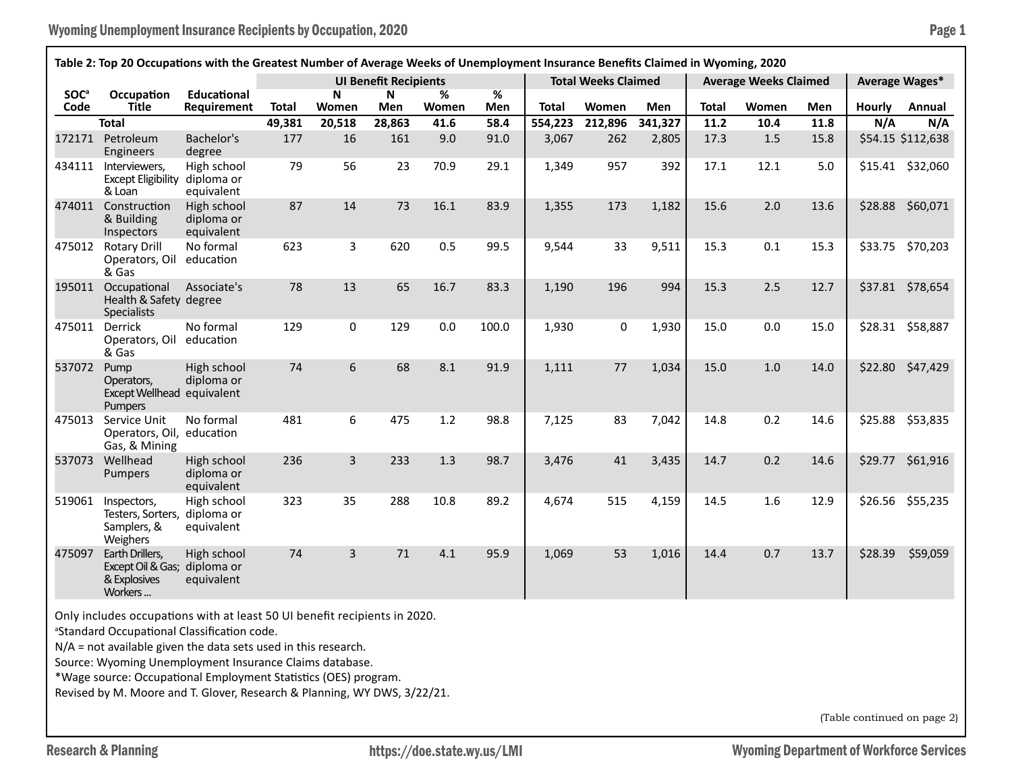| Table 2: Top 20 Occupations with the Greatest Number of Average Weeks of Unemployment Insurance Benefits Claimed in Wyoming, 2020 |                                                                            |                                         |              |                |                              |            |          |                            |         |         |                              |       |      |                |                   |
|-----------------------------------------------------------------------------------------------------------------------------------|----------------------------------------------------------------------------|-----------------------------------------|--------------|----------------|------------------------------|------------|----------|----------------------------|---------|---------|------------------------------|-------|------|----------------|-------------------|
|                                                                                                                                   |                                                                            |                                         |              |                | <b>UI Benefit Recipients</b> |            |          | <b>Total Weeks Claimed</b> |         |         | <b>Average Weeks Claimed</b> |       |      | Average Wages* |                   |
| <b>SOC</b> <sup>a</sup><br>Code                                                                                                   | Occupation<br><b>Title</b>                                                 | <b>Educational</b><br>Requirement       | <b>Total</b> | N<br>Women     | $\mathbf N$<br>Men           | %<br>Women | %<br>Men | <b>Total</b>               | Women   | Men     | <b>Total</b>                 | Women | Men  | <b>Hourly</b>  | Annual            |
|                                                                                                                                   | <b>Total</b>                                                               |                                         | 49,381       | 20,518         | 28,863                       | 41.6       | 58.4     | 554,223                    | 212,896 | 341,327 | 11.2                         | 10.4  | 11.8 | N/A            | N/A               |
| 172171                                                                                                                            | Petroleum<br><b>Engineers</b>                                              | Bachelor's<br>degree                    | 177          | 16             | 161                          | 9.0        | 91.0     | 3,067                      | 262     | 2,805   | 17.3                         | 1.5   | 15.8 |                | \$54.15 \$112,638 |
| 434111                                                                                                                            | Interviewers.<br>Except Eligibility diploma or<br>& Loan                   | High school<br>equivalent               | 79           | 56             | 23                           | 70.9       | 29.1     | 1,349                      | 957     | 392     | 17.1                         | 12.1  | 5.0  |                | \$15.41 \$32,060  |
|                                                                                                                                   | 474011 Construction<br>& Building<br>Inspectors                            | High school<br>diploma or<br>equivalent | 87           | 14             | 73                           | 16.1       | 83.9     | 1,355                      | 173     | 1,182   | 15.6                         | 2.0   | 13.6 |                | \$28.88 \$60,071  |
| 475012                                                                                                                            | <b>Rotary Drill</b><br>Operators, Oil<br>& Gas                             | No formal<br>education                  | 623          | 3              | 620                          | 0.5        | 99.5     | 9,544                      | 33      | 9,511   | 15.3                         | 0.1   | 15.3 | \$33.75        | \$70,203          |
| 195011                                                                                                                            | Occupational<br>Health & Safety degree<br><b>Specialists</b>               | Associate's                             | 78           | 13             | 65                           | 16.7       | 83.3     | 1,190                      | 196     | 994     | 15.3                         | 2.5   | 12.7 |                | \$37.81 \$78,654  |
| 475011                                                                                                                            | Derrick<br>Operators, Oil education<br>& Gas                               | No formal                               | 129          | 0              | 129                          | 0.0        | 100.0    | 1,930                      | 0       | 1,930   | 15.0                         | 0.0   | 15.0 |                | \$28.31 \$58,887  |
| 537072                                                                                                                            | Pump<br>Operators.<br>Except Wellhead equivalent<br>Pumpers                | High school<br>diploma or               | 74           | 6              | 68                           | 8.1        | 91.9     | 1,111                      | 77      | 1,034   | 15.0                         | $1.0$ | 14.0 |                | \$22.80 \$47,429  |
| 475013                                                                                                                            | Service Unit<br>Operators, Oil,<br>Gas, & Mining                           | No formal<br>education                  | 481          | 6              | 475                          | 1.2        | 98.8     | 7,125                      | 83      | 7,042   | 14.8                         | 0.2   | 14.6 | \$25.88        | \$53,835          |
| 537073                                                                                                                            | Wellhead<br>Pumpers                                                        | High school<br>diploma or<br>equivalent | 236          | $\overline{3}$ | 233                          | 1.3        | 98.7     | 3,476                      | 41      | 3,435   | 14.7                         | 0.2   | 14.6 | \$29.77        | \$61,916          |
| 519061                                                                                                                            | Inspectors,<br>Testers, Sorters, diploma or<br>Samplers, &<br>Weighers     | High school<br>equivalent               | 323          | 35             | 288                          | 10.8       | 89.2     | 4,674                      | 515     | 4,159   | 14.5                         | 1.6   | 12.9 | \$26.56        | \$55,235          |
| 475097                                                                                                                            | Earth Drillers,<br>Except Oil & Gas; diploma or<br>& Explosives<br>Workers | High school<br>equivalent               | 74           | $\overline{3}$ | 71                           | 4.1        | 95.9     | 1,069                      | 53      | 1,016   | 14.4                         | 0.7   | 13.7 | \$28.39        | \$59,059          |

Only includes occupations with at least 50 UI benefit recipients in 2020.

a Standard Occupational Classification code.

N/A = not available given the data sets used in this research.

Source: Wyoming Unemployment Insurance Claims database.

\*Wage source: Occupational Employment Statistics (OES) program.

Revised by M. Moore and T. Glover, Research & Planning, WY DWS, 3/22/21.

(Table continued on page 2)